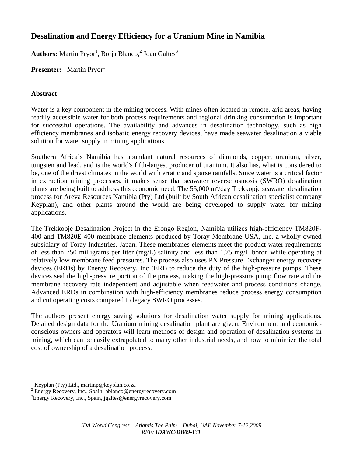# **Desalination and Energy Efficiency for a Uranium Mine in Namibia**

Authors: Martin Pryor<sup>1</sup>, Borja Blanco,<sup>2</sup> Joan Galtes<sup>3</sup>

**Presenter:** Martin Pryor<sup>1</sup>

# **Abstract**

Water is a key component in the mining process. With mines often located in remote, arid areas, having readily accessible water for both process requirements and regional drinking consumption is important for successful operations. The availability and advances in desalination technology, such as high efficiency membranes and isobaric energy recovery devices, have made seawater desalination a viable solution for water supply in mining applications.

Southern Africa's Namibia has abundant natural resources of diamonds, copper, uranium, silver, tungsten and lead, and is the world's fifth-largest producer of uranium. It also has, what is considered to be, one of the driest climates in the world with erratic and sparse rainfalls. Since water is a critical factor in extraction mining processes, it makes sense that seawater reverse osmosis (SWRO) desalination plants are being built to address this economic need. The 55,000  $\text{m}^3$ /day Trekkopje seawater desalination process for Areva Resources Namibia (Pty) Ltd (built by South African desalination specialist company Keyplan), and other plants around the world are being developed to supply water for mining applications.

The Trekkopje Desalination Project in the Erongo Region, Namibia utilizes high-efficiency TM820F-400 and TM820E-400 membrane elements produced by Toray Membrane USA, Inc. a wholly owned subsidiary of Toray Industries, Japan. These membranes elements meet the product water requirements of less than 750 milligrams per liter (mg/L) salinity and less than 1.75 mg/L boron while operating at relatively low membrane feed pressures. The process also uses PX Pressure Exchanger energy recovery devices (ERDs) by Energy Recovery, Inc (ERI) to reduce the duty of the high-pressure pumps. These devices seal the high-pressure portion of the process, making the high-pressure pump flow rate and the membrane recovery rate independent and adjustable when feedwater and process conditions change. Advanced ERDs in combination with high-efficiency membranes reduce process energy consumption and cut operating costs compared to legacy SWRO processes.

The authors present energy saving solutions for desalination water supply for mining applications. Detailed design data for the Uranium mining desalination plant are given. Environment and economicconscious owners and operators will learn methods of design and operation of desalination systems in mining, which can be easily extrapolated to many other industrial needs, and how to minimize the total cost of ownership of a desalination process.

 $\overline{a}$ 

<sup>1</sup> Keyplan (Pty) Ltd., martinp@keyplan.co.za

<sup>2</sup> Energy Recovery, Inc., Spain, bblanco@energyrecovery.com

<sup>3</sup> Energy Recovery, Inc., Spain, jgaltes@energyrecovery.com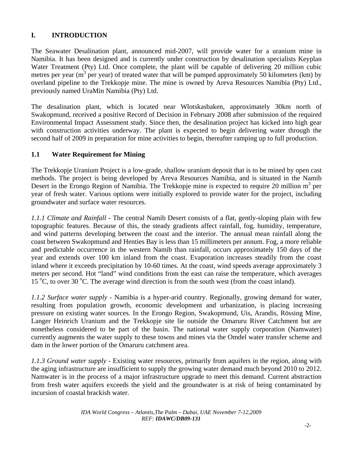# **I. INTRODUCTION**

The Seawater Desalination plant, announced mid-2007, will provide water for a uranium mine in Namibia. It has been designed and is currently under construction by desalination specialists Keyplan Water Treatment (Pty) Ltd. Once complete, the plant will be capable of delivering 20 million cubic metres per year ( $m<sup>3</sup>$  per year) of treated water that will be pumped approximately 50 kilometers (km) by overland pipeline to the Trekkopje mine. The mine is owned by Areva Resources Namibia (Pty) Ltd., previously named UraMin Namibia (Pty) Ltd.

The desalination plant, which is located near Wlotskasbaken, approximately 30km north of Swakopmund, received a positive Record of Decision in February 2008 after submission of the required Environmental Impact Assessment study. Since then, the desalination project has kicked into high gear with construction activities underway. The plant is expected to begin delivering water through the second half of 2009 in preparation for mine activities to begin, thereafter ramping up to full production.

## **1.1 Water Requirement for Mining**

The Trekkopje Uranium Project is a low-grade, shallow uranium deposit that is to be mined by open cast methods. The project is being developed by Areva Resources Namibia, and is situated in the Namib Desert in the Erongo Region of Namibia. The Trekkopje mine is expected to require 20 million  $m^3$  per year of fresh water. Various options were initially explored to provide water for the project, including groundwater and surface water resources.

*1.1.1 Climate and Rainfall -* The central Namib Desert consists of a flat, gently-sloping plain with few topographic features. Because of this, the steady gradients affect rainfall, fog, humidity, temperature, and wind patterns developing between the coast and the interior. The annual mean rainfall along the coast between Swakopmund and Henties Bay is less than 15 millimeters per annum. Fog, a more reliable and predictable occurrence in the western Namib than rainfall, occurs approximately 150 days of the year and extends over 100 km inland from the coast. Evaporation increases steadily from the coast inland where it exceeds precipitation by 10-60 times. At the coast, wind speeds average approximately 3 meters per second. Hot "land" wind conditions from the east can raise the temperature, which averages 15 °C, to over 30 °C. The average wind direction is from the south west (from the coast inland).

*1.1.2 Surface water supply -* Namibia is a hyper-arid country. Regionally, growing demand for water, resulting from population growth, economic development and urbanization, is placing increasing pressure on existing water sources. In the Erongo Region, Swakopmund, Uis, Arandis, Rössing Mine, Langer Heinrich Uranium and the Trekkopje site lie outside the Omaruru River Catchment but are nonetheless considered to be part of the basin. The national water supply corporation (Namwater) currently augments the water supply to these towns and mines via the Omdel water transfer scheme and dam in the lower portion of the Omaruru catchment area.

*1.1.3 Ground water supply -* Existing water resources, primarily from aquifers in the region, along with the aging infrastructure are insufficient to supply the growing water demand much beyond 2010 to 2012. Namwater is in the process of a major infrastructure upgrade to meet this demand. Current abstraction from fresh water aquifers exceeds the yield and the groundwater is at risk of being contaminated by incursion of coastal brackish water.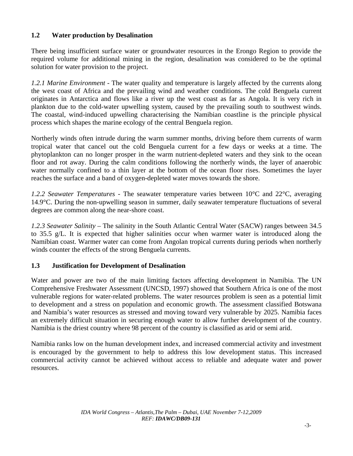## **1.2 Water production by Desalination**

There being insufficient surface water or groundwater resources in the Erongo Region to provide the required volume for additional mining in the region, desalination was considered to be the optimal solution for water provision to the project.

*1.2.1 Marine Environment -* The water quality and temperature is largely affected by the currents along the west coast of Africa and the prevailing wind and weather conditions. The cold Benguela current originates in Antarctica and flows like a river up the west coast as far as Angola. It is very rich in plankton due to the cold-water upwelling system, caused by the prevailing south to southwest winds. The coastal, wind-induced upwelling characterising the Namibian coastline is the principle physical process which shapes the marine ecology of the central Benguela region.

Northerly winds often intrude during the warm summer months, driving before them currents of warm tropical water that cancel out the cold Benguela current for a few days or weeks at a time. The phytoplankton can no longer prosper in the warm nutrient-depleted waters and they sink to the ocean floor and rot away. During the calm conditions following the northerly winds, the layer of anaerobic water normally confined to a thin layer at the bottom of the ocean floor rises. Sometimes the layer reaches the surface and a band of oxygen-depleted water moves towards the shore.

*1.2.2 Seawater Temperatures -* The seawater temperature varies between 10°C and 22°C, averaging 14.9°C. During the non-upwelling season in summer, daily seawater temperature fluctuations of several degrees are common along the near-shore coast.

*1.2.3 Seawater Salinity –* The salinity in the South Atlantic Central Water (SACW) ranges between 34.5 to 35.5 g/L. It is expected that higher salinities occur when warmer water is introduced along the Namibian coast. Warmer water can come from Angolan tropical currents during periods when northerly winds counter the effects of the strong Benguela currents.

## **1.3 Justification for Development of Desalination**

Water and power are two of the main limiting factors affecting development in Namibia. The UN Comprehensive Freshwater Assessment (UNCSD, 1997) showed that Southern Africa is one of the most vulnerable regions for water-related problems. The water resources problem is seen as a potential limit to development and a stress on population and economic growth. The assessment classified Botswana and Namibia's water resources as stressed and moving toward very vulnerable by 2025. Namibia faces an extremely difficult situation in securing enough water to allow further development of the country. Namibia is the driest country where 98 percent of the country is classified as arid or semi arid.

Namibia ranks low on the human development index, and increased commercial activity and investment is encouraged by the government to help to address this low development status. This increased commercial activity cannot be achieved without access to reliable and adequate water and power resources.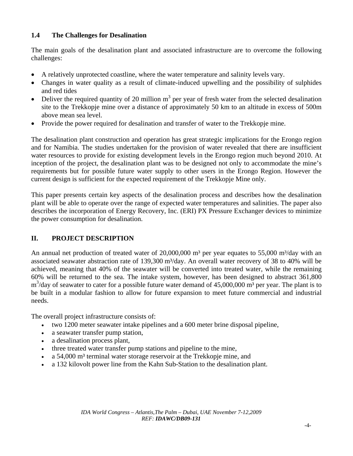# **1.4 The Challenges for Desalination**

The main goals of the desalination plant and associated infrastructure are to overcome the following challenges:

- A relatively unprotected coastline, where the water temperature and salinity levels vary.
- Changes in water quality as a result of climate-induced upwelling and the possibility of sulphides and red tides
- Deliver the required quantity of 20 million  $m<sup>3</sup>$  per year of fresh water from the selected desalination site to the Trekkopje mine over a distance of approximately 50 km to an altitude in excess of 500m above mean sea level.
- Provide the power required for desalination and transfer of water to the Trekkopje mine.

The desalination plant construction and operation has great strategic implications for the Erongo region and for Namibia. The studies undertaken for the provision of water revealed that there are insufficient water resources to provide for existing development levels in the Erongo region much beyond 2010. At inception of the project, the desalination plant was to be designed not only to accommodate the mine's requirements but for possible future water supply to other users in the Erongo Region. However the current design is sufficient for the expected requirement of the Trekkopje Mine only.

This paper presents certain key aspects of the desalination process and describes how the desalination plant will be able to operate over the range of expected water temperatures and salinities. The paper also describes the incorporation of Energy Recovery, Inc. (ERI) PX Pressure Exchanger devices to minimize the power consumption for desalination.

# **II. PROJECT DESCRIPTION**

An annual net production of treated water of  $20,000,000$  m<sup>3</sup> per year equates to 55,000 m<sup>3</sup>/day with an associated seawater abstraction rate of 139,300 m<sup>3</sup>/day. An overall water recovery of 38 to 40% will be achieved, meaning that 40% of the seawater will be converted into treated water, while the remaining 60% will be returned to the sea. The intake system, however, has been designed to abstract 361,800  $m<sup>3</sup>/day$  of seawater to cater for a possible future water demand of 45,000,000  $m<sup>3</sup>$  per year. The plant is to be built in a modular fashion to allow for future expansion to meet future commercial and industrial needs.

The overall project infrastructure consists of:

- two 1200 meter seawater intake pipelines and a 600 meter brine disposal pipeline,
- a seawater transfer pump station,
- a desalination process plant,
- three treated water transfer pump stations and pipeline to the mine,
- a 54,000 m³ terminal water storage reservoir at the Trekkopje mine, and
- a 132 kilovolt power line from the Kahn Sub-Station to the desalination plant.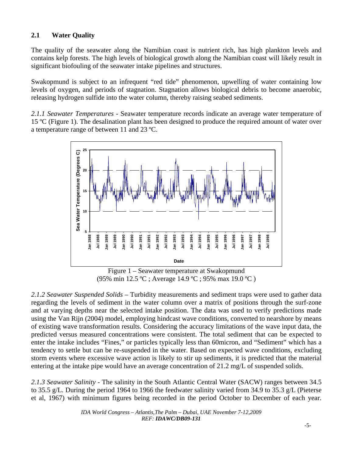# **2.1 Water Quality**

The quality of the seawater along the Namibian coast is nutrient rich, has high plankton levels and contains kelp forests. The high levels of biological growth along the Namibian coast will likely result in significant biofouling of the seawater intake pipelines and structures.

Swakopmund is subject to an infrequent "red tide" phenomenon, upwelling of water containing low levels of oxygen, and periods of stagnation. Stagnation allows biological debris to become anaerobic, releasing hydrogen sulfide into the water column, thereby raising seabed sediments.

*2.1.1 Seawater Temperatures -* Seawater temperature records indicate an average water temperature of 15 ºC (Figure 1). The desalination plant has been designed to produce the required amount of water over a temperature range of between 11 and 23 ºC.



Figure 1 – Seawater temperature at Swakopmund (95% min 12.5 ºC ; Average 14.9 ºC ; 95% max 19.0 ºC )

*2.1.2 Seawater Suspended Solids –* Turbidity measurements and sediment traps were used to gather data regarding the levels of sediment in the water column over a matrix of positions through the surf-zone and at varying depths near the selected intake position. The data was used to verify predictions made using the Van Rijn (2004) model, employing hindcast wave conditions, converted to nearshore by means of existing wave transformation results. Considering the accuracy limitations of the wave input data, the predicted versus measured concentrations were consistent. The total sediment that can be expected to enter the intake includes "Fines," or particles typically less than 60micron, and "Sediment" which has a tendency to settle but can be re-suspended in the water. Based on expected wave conditions, excluding storm events where excessive wave action is likely to stir up sediments, it is predicted that the material entering at the intake pipe would have an average concentration of 21.2 mg/L of suspended solids.

*2.1.3 Seawater Salinity -* The salinity in the South Atlantic Central Water (SACW) ranges between 34.5 to 35.5 g/L. During the period 1964 to 1966 the feedwater salinity varied from 34.9 to 35.3 g/L (Pieterse et al, 1967) with minimum figures being recorded in the period October to December of each year.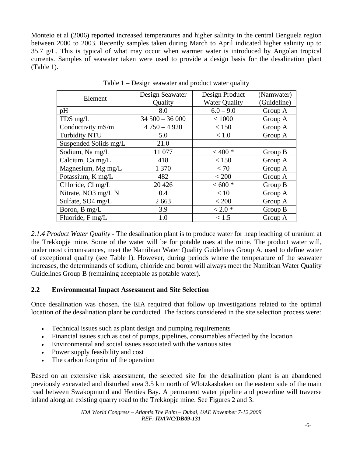Monteio et al (2006) reported increased temperatures and higher salinity in the central Benguela region between 2000 to 2003. Recently samples taken during March to April indicated higher salinity up to 35.7 g/L. This is typical of what may occur when warmer water is introduced by Angolan tropical currents. Samples of seawater taken were used to provide a design basis for the desalination plant (Table 1).

| Element               | Design Seawater | Design Product       | (Namwater)  |  |
|-----------------------|-----------------|----------------------|-------------|--|
|                       | Quality         | <b>Water Quality</b> | (Guideline) |  |
| pH                    | 8.0             | $6.0 - 9.0$          | Group A     |  |
| TDS mg/L              | $34500 - 36000$ | < 1000               | Group A     |  |
| Conductivity mS/m     | $4750 - 4920$   | < 150                | Group A     |  |
| <b>Turbidity NTU</b>  | 5.0             | < 1.0                | Group A     |  |
| Suspended Solids mg/L | 21.0            |                      |             |  |
| Sodium, Na mg/L       | 11 077          | $< 400*$             | Group B     |  |
| Calcium, Ca mg/L      | 418             | < 150                | Group A     |  |
| Magnesium, Mg mg/L    | 1 370           | < 70                 | Group A     |  |
| Potassium, K mg/L     | 482             | < 200                | Group A     |  |
| Chloride, Cl mg/L     | 20 4 26         | $< 600 *$            | Group B     |  |
| Nitrate, NO3 mg/L N   | 0.4             | < 10                 | Group A     |  |
| Sulfate, SO4 mg/L     | 2 6 6 3         | < 200                | Group A     |  |
| Boron, B mg/L         | 3.9             | $< 2.0*$             | Group B     |  |
| Fluoride, F mg/L      | 1.0             | < 1.5                | Group A     |  |

Table 1 – Design seawater and product water quality

*2.1.4 Product Water Quality -* The desalination plant is to produce water for heap leaching of uranium at the Trekkopje mine. Some of the water will be for potable uses at the mine. The product water will, under most circumstances, meet the Namibian Water Quality Guidelines Group A, used to define water of exceptional quality (see Table 1). However, during periods where the temperature of the seawater increases, the determinands of sodium, chloride and boron will always meet the Namibian Water Quality Guidelines Group B (remaining acceptable as potable water).

## **2.2 Environmental Impact Assessment and Site Selection**

Once desalination was chosen, the EIA required that follow up investigations related to the optimal location of the desalination plant be conducted. The factors considered in the site selection process were:

- Technical issues such as plant design and pumping requirements
- Financial issues such as cost of pumps, pipelines, consumables affected by the location
- Environmental and social issues associated with the various sites
- Power supply feasibility and cost
- The carbon footprint of the operation

Based on an extensive risk assessment, the selected site for the desalination plant is an abandoned previously excavated and disturbed area 3.5 km north of Wlotzkasbaken on the eastern side of the main road between Swakopmund and Henties Bay. A permanent water pipeline and powerline will traverse inland along an existing quarry road to the Trekkopje mine. See Figures 2 and 3.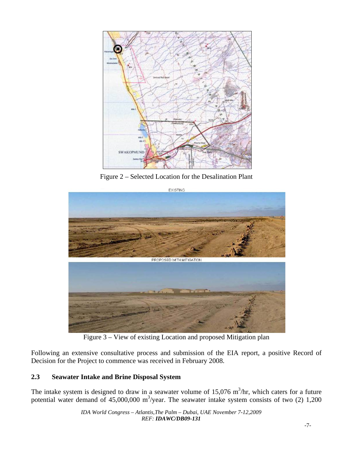

Figure 2 – Selected Location for the Desalination Plant



Figure 3 – View of existing Location and proposed Mitigation plan

Following an extensive consultative process and submission of the EIA report, a positive Record of Decision for the Project to commence was received in February 2008.

# **2.3 Seawater Intake and Brine Disposal System**

The intake system is designed to draw in a seawater volume of  $15,076$  m<sup>3</sup>/hr, which caters for a future potential water demand of  $45,000,000$  m<sup>3</sup>/year. The seawater intake system consists of two (2) 1,200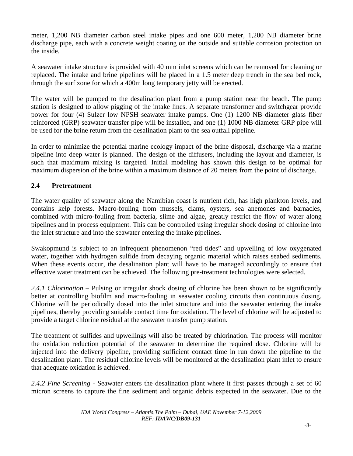meter, 1,200 NB diameter carbon steel intake pipes and one 600 meter, 1,200 NB diameter brine discharge pipe, each with a concrete weight coating on the outside and suitable corrosion protection on the inside.

A seawater intake structure is provided with 40 mm inlet screens which can be removed for cleaning or replaced. The intake and brine pipelines will be placed in a 1.5 meter deep trench in the sea bed rock, through the surf zone for which a 400m long temporary jetty will be erected.

The water will be pumped to the desalination plant from a pump station near the beach. The pump station is designed to allow pigging of the intake lines. A separate transformer and switchgear provide power for four (4) Sulzer low NPSH seawater intake pumps. One (1) 1200 NB diameter glass fiber reinforced (GRP) seawater transfer pipe will be installed, and one (1) 1000 NB diameter GRP pipe will be used for the brine return from the desalination plant to the sea outfall pipeline.

In order to minimize the potential marine ecology impact of the brine disposal, discharge via a marine pipeline into deep water is planned. The design of the diffusers, including the layout and diameter, is such that maximum mixing is targeted. Initial modeling has shown this design to be optimal for maximum dispersion of the brine within a maximum distance of 20 meters from the point of discharge.

## **2.4 Pretreatment**

The water quality of seawater along the Namibian coast is nutrient rich, has high plankton levels, and contains kelp forests. Macro-fouling from mussels, clams, oysters, sea anemones and barnacles, combined with micro-fouling from bacteria, slime and algae, greatly restrict the flow of water along pipelines and in process equipment. This can be controlled using irregular shock dosing of chlorine into the inlet structure and into the seawater entering the intake pipelines.

Swakopmund is subject to an infrequent phenomenon "red tides" and upwelling of low oxygenated water, together with hydrogen sulfide from decaying organic material which raises seabed sediments. When these events occur, the desalination plant will have to be managed accordingly to ensure that effective water treatment can be achieved. The following pre-treatment technologies were selected.

*2.4.1 Chlorination* – Pulsing or irregular shock dosing of chlorine has been shown to be significantly better at controlling biofilm and macro-fouling in seawater cooling circuits than continuous dosing. Chlorine will be periodically dosed into the inlet structure and into the seawater entering the intake pipelines, thereby providing suitable contact time for oxidation. The level of chlorine will be adjusted to provide a target chlorine residual at the seawater transfer pump station.

The treatment of sulfides and upwellings will also be treated by chlorination. The process will monitor the oxidation reduction potential of the seawater to determine the required dose. Chlorine will be injected into the delivery pipeline, providing sufficient contact time in run down the pipeline to the desalination plant. The residual chlorine levels will be monitored at the desalination plant inlet to ensure that adequate oxidation is achieved.

*2.4.2 Fine Screening -* Seawater enters the desalination plant where it first passes through a set of 60 micron screens to capture the fine sediment and organic debris expected in the seawater. Due to the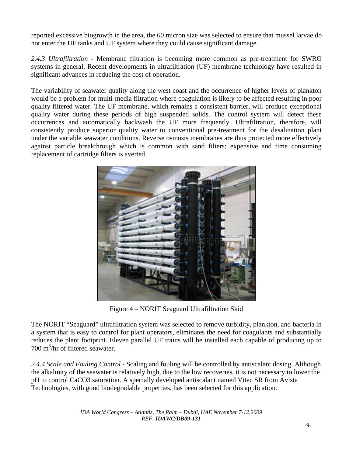reported excessive biogrowth in the area, the 60 micron size was selected to ensure that mussel larvae do not enter the UF tanks and UF system where they could cause significant damage.

*2.4.3 Ultrafiltration -* Membrane filtration is becoming more common as pre-treatment for SWRO systems in general. Recent developments in ultrafiltration (UF) membrane technology have resulted in significant advances in reducing the cost of operation.

The variability of seawater quality along the west coast and the occurrence of higher levels of plankton would be a problem for multi-media filtration where coagulation is likely to be affected resulting in poor quality filtered water. The UF membrane, which remains a consistent barrier, will produce exceptional quality water during these periods of high suspended solids. The control system will detect these occurrences and automatically backwash the UF more frequently. Ultrafiltration, therefore, will consistently produce superior quality water to conventional pre-treatment for the desalination plant under the variable seawater conditions. Reverse osmosis membranes are thus protected more effectively against particle breakthrough which is common with sand filters; expensive and time consuming replacement of cartridge filters is averted.



Figure 4 – NORIT Seaguard Ultrafiltration Skid

The NORIT "Seaguard" ultrafiltration system was selected to remove turbidity, plankton, and bacteria in a system that is easy to control for plant operators, eliminates the need for coagulants and substantially reduces the plant footprint. Eleven parallel UF trains will be installed each capable of producing up to 700 m<sup>3</sup>/hr of filtered seawater.

*2.4.4 Scale and Fouling Control -* Scaling and fouling will be controlled by antiscalant dosing. Although the alkalinity of the seawater is relatively high, due to the low recoveries, it is not necessary to lower the pH to control CaCO3 saturation. A specially developed antiscalant named Vitec SR from Avista Technologies, with good biodegradable properties, has been selected for this application.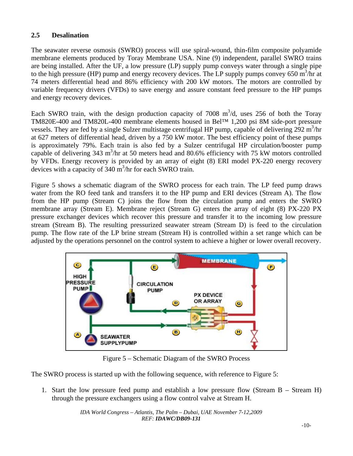## **2.5 Desalination**

The seawater reverse osmosis (SWRO) process will use spiral-wound, thin-film composite polyamide membrane elements produced by Toray Membrane USA. Nine (9) independent, parallel SWRO trains are being installed. After the UF, a low pressure (LP) supply pump conveys water through a single pipe to the high pressure (HP) pump and energy recovery devices. The LP supply pumps convey 650  $\text{m}^3/\text{hr}$  at 74 meters differential head and 86% efficiency with 200 kW motors. The motors are controlled by variable frequency drivers (VFDs) to save energy and assure constant feed pressure to the HP pumps and energy recovery devices.

Each SWRO train, with the design production capacity of 7008  $m^3/d$ , uses 256 of both the Toray TM820E-400 and TM820L-400 membrane elements housed in Bel™ 1,200 psi 8M side-port pressure vessels. They are fed by a single Sulzer multistage centrifugal HP pump, capable of delivering  $292 \text{ m}^3/\text{hr}$ at 627 meters of differential head, driven by a 750 kW motor. The best efficiency point of these pumps is approximately 79%. Each train is also fed by a Sulzer centrifugal HP circulation/booster pump capable of delivering 343 m<sup>3</sup>/hr at 50 meters head and 80.6% efficiency with 75 kW motors controlled by VFDs. Energy recovery is provided by an array of eight (8) ERI model PX-220 energy recovery devices with a capacity of 340 m<sup>3</sup>/hr for each SWRO train.

Figure 5 shows a schematic diagram of the SWRO process for each train. The LP feed pump draws water from the RO feed tank and transfers it to the HP pump and ERI devices (Stream A). The flow from the HP pump (Stream C) joins the flow from the circulation pump and enters the SWRO membrane array (Stream E). Membrane reject (Stream G) enters the array of eight (8) PX-220 PX pressure exchanger devices which recover this pressure and transfer it to the incoming low pressure stream (Stream B). The resulting pressurized seawater stream (Stream D) is feed to the circulation pump. The flow rate of the LP brine stream (Stream H) is controlled within a set range which can be adjusted by the operations personnel on the control system to achieve a higher or lower overall recovery.



Figure 5 – Schematic Diagram of the SWRO Process

The SWRO process is started up with the following sequence, with reference to Figure 5:

1. Start the low pressure feed pump and establish a low pressure flow (Stream B – Stream H) through the pressure exchangers using a flow control valve at Stream H.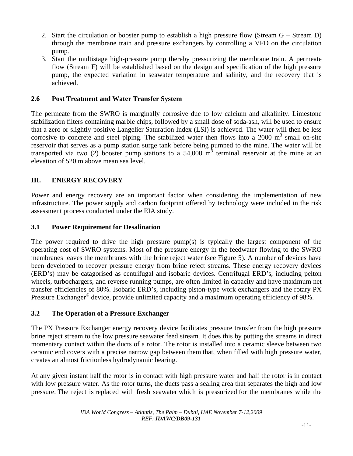- 2. Start the circulation or booster pump to establish a high pressure flow (Stream G Stream D) through the membrane train and pressure exchangers by controlling a VFD on the circulation pump.
- 3. Start the multistage high-pressure pump thereby pressurizing the membrane train. A permeate flow (Stream F) will be established based on the design and specification of the high pressure pump, the expected variation in seawater temperature and salinity, and the recovery that is achieved.

#### **2.6 Post Treatment and Water Transfer System**

The permeate from the SWRO is marginally corrosive due to low calcium and alkalinity. Limestone stabilization filters containing marble chips, followed by a small dose of soda-ash, will be used to ensure that a zero or slightly positive Langelier Saturation Index (LSI) is achieved. The water will then be less corrosive to concrete and steel piping. The stabilized water then flows into a  $2000 \text{ m}^3$  small on-site reservoir that serves as a pump station surge tank before being pumped to the mine. The water will be transported via two (2) booster pump stations to a 54,000  $\overline{m}^3$  terminal reservoir at the mine at an elevation of 520 m above mean sea level.

## **III. ENERGY RECOVERY**

Power and energy recovery are an important factor when considering the implementation of new infrastructure. The power supply and carbon footprint offered by technology were included in the risk assessment process conducted under the EIA study.

#### **3.1 Power Requirement for Desalination**

The power required to drive the high pressure pump(s) is typically the largest component of the operating cost of SWRO systems. Most of the pressure energy in the feedwater flowing to the SWRO membranes leaves the membranes with the brine reject water (see Figure 5). A number of devices have been developed to recover pressure energy from brine reject streams. These energy recovery devices (ERD's) may be catagorised as centrifugal and isobaric devices. Centrifugal ERD's, including pelton wheels, turbochargers, and reverse running pumps, are often limited in capacity and have maximum net transfer efficiencies of 80%. Isobaric ERD's, including piston-type work exchangers and the rotary PX Pressure Exchanger<sup>®</sup> device, provide unlimited capacity and a maximum operating efficiency of 98%.

## **3.2 The Operation of a Pressure Exchanger**

The PX Pressure Exchanger energy recovery device facilitates pressure transfer from the high pressure brine reject stream to the low pressure seawater feed stream. It does this by putting the streams in direct momentary contact within the ducts of a rotor. The rotor is installed into a ceramic sleeve between two ceramic end covers with a precise narrow gap between them that, when filled with high pressure water, creates an almost frictionless hydrodynamic bearing.

At any given instant half the rotor is in contact with high pressure water and half the rotor is in contact with low pressure water. As the rotor turns, the ducts pass a sealing area that separates the high and low pressure. The reject is replaced with fresh seawater which is pressurized for the membranes while the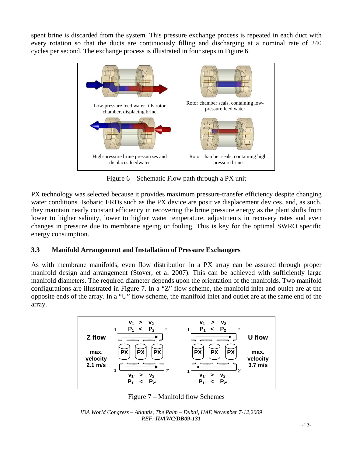spent brine is discarded from the system. This pressure exchange process is repeated in each duct with every rotation so that the ducts are continuously filling and discharging at a nominal rate of 240 cycles per second. The exchange process is illustrated in four steps in Figure 6.



Figure 6 – Schematic Flow path through a PX unit

PX technology was selected because it provides maximum pressure-transfer efficiency despite changing water conditions. Isobaric ERDs such as the PX device are positive displacement devices, and, as such, they maintain nearly constant efficiency in recovering the brine pressure energy as the plant shifts from lower to higher salinity, lower to higher water temperature, adjustments in recovery rates and even changes in pressure due to membrane ageing or fouling. This is key for the optimal SWRO specific energy consumption.

# **3.3 Manifold Arrangement and Installation of Pressure Exchangers**

As with membrane manifolds, even flow distribution in a PX array can be assured through proper manifold design and arrangement (Stover, et al 2007). This can be achieved with sufficiently large manifold diameters. The required diameter depends upon the orientation of the manifolds. Two manifold configurations are illustrated in Figure 7. In a "Z" flow scheme, the manifold inlet and outlet are at the opposite ends of the array. In a "U" flow scheme, the manifold inlet and outlet are at the same end of the array.



Figure 7 – Manifold flow Schemes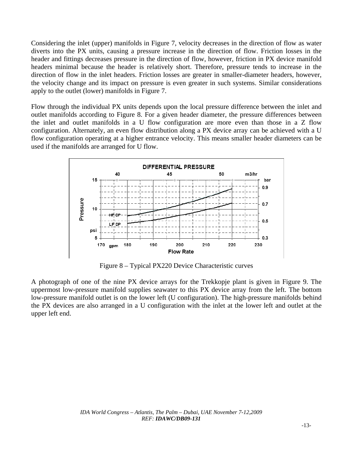Considering the inlet (upper) manifolds in Figure 7, velocity decreases in the direction of flow as water diverts into the PX units, causing a pressure increase in the direction of flow. Friction losses in the header and fittings decreases pressure in the direction of flow, however, friction in PX device manifold headers minimal because the header is relatively short. Therefore, pressure tends to increase in the direction of flow in the inlet headers. Friction losses are greater in smaller-diameter headers, however, the velocity change and its impact on pressure is even greater in such systems. Similar considerations apply to the outlet (lower) manifolds in Figure 7.

Flow through the individual PX units depends upon the local pressure difference between the inlet and outlet manifolds according to Figure 8. For a given header diameter, the pressure differences between the inlet and outlet manifolds in a U flow configuration are more even than those in a Z flow configuration. Alternately, an even flow distribution along a PX device array can be achieved with a U flow configuration operating at a higher entrance velocity. This means smaller header diameters can be used if the manifolds are arranged for U flow.



Figure 8 – Typical PX220 Device Characteristic curves

A photograph of one of the nine PX device arrays for the Trekkopje plant is given in Figure 9. The uppermost low-pressure manifold supplies seawater to this PX device array from the left. The bottom low-pressure manifold outlet is on the lower left (U configuration). The high-pressure manifolds behind the PX devices are also arranged in a U configuration with the inlet at the lower left and outlet at the upper left end.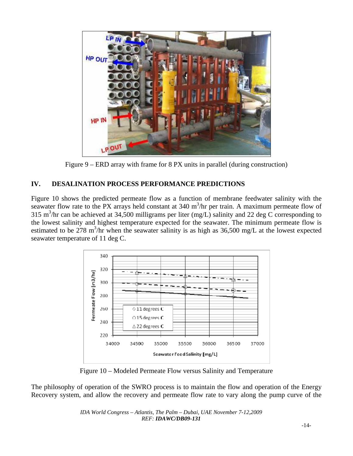

Figure 9 – ERD array with frame for 8 PX units in parallel (during construction)

# **IV. DESALINATION PROCESS PERFORMANCE PREDICTIONS**

Figure 10 shows the predicted permeate flow as a function of membrane feedwater salinity with the seawater flow rate to the PX arrays held constant at  $340 \text{ m}^3/\text{hr}$  per train. A maximum permeate flow of 315 m<sup>3</sup>/hr can be achieved at 34,500 milligrams per liter (mg/L) salinity and 22 deg C corresponding to the lowest salinity and highest temperature expected for the seawater. The minimum permeate flow is estimated to be 278 m<sup>3</sup>/hr when the seawater salinity is as high as 36,500 mg/L at the lowest expected seawater temperature of 11 deg C.



Figure 10 – Modeled Permeate Flow versus Salinity and Temperature

The philosophy of operation of the SWRO process is to maintain the flow and operation of the Energy Recovery system, and allow the recovery and permeate flow rate to vary along the pump curve of the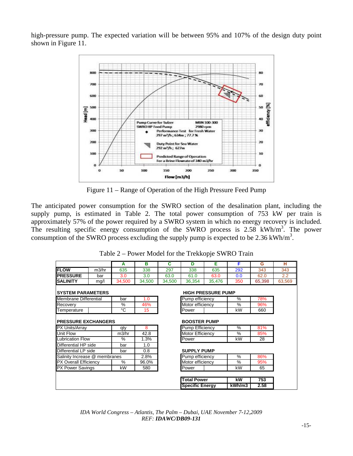high-pressure pump. The expected variation will be between 95% and 107% of the design duty point shown in Figure 11.



Figure 11 – Range of Operation of the High Pressure Feed Pump

The anticipated power consumption for the SWRO section of the desalination plant, including the supply pump, is estimated in Table 2. The total power consumption of 753 kW per train is approximately 57% of the power required by a SWRO system in which no energy recovery is included. The resulting specific energy consumption of the SWRO process is 2.58 kWh/m<sup>3</sup>. The power consumption of the SWRO process excluding the supply pump is expected to be 2.36 kWh/ $m<sup>3</sup>$ .

|                               |       | A      | в      | С               | D                      | Е                         | F             | G      | н      |
|-------------------------------|-------|--------|--------|-----------------|------------------------|---------------------------|---------------|--------|--------|
| <b>FLOW</b>                   | m3/hr | 635    | 338    | 297             | 338                    | 635                       | 292           | 343    | 343    |
| <b>PRESSURE</b>               | bar   | 3.0    | 3.0    | 63.0            | 61.0                   | 63.0                      | 0.0           | 62.0   | 2.2    |
| <b>SALINITY</b>               | mg/l  | 34.500 | 34,500 | 34,500          | 36,354                 | 35.476                    | 350           | 65,398 | 63.569 |
| <b>SYSTEM PARAMETERS</b>      |       |        |        |                 |                        | <b>HIGH PRESSURE PUMP</b> |               |        |        |
| <b>Membrane Differential</b>  |       | bar    | 1.0    |                 | Pump efficiency        |                           | $\%$          | 78%    |        |
| Recovery                      |       | $\%$   | 46%    |                 | Motor efficiency       |                           | $\frac{0}{0}$ | 96%    |        |
| Temperature                   |       | °C     | 15     |                 | Power                  |                           | kW            | 660    |        |
| <b>PRESSURE EXCHANGERS</b>    |       |        |        |                 | <b>BOOSTER PUMP</b>    |                           |               |        |        |
| PX Units/Array                |       | qty    | 8      |                 | <b>Pump Efficiency</b> |                           | %             | 81%    |        |
| Unit Flow                     |       | m3/hr  | 42.8   |                 | Motor Efficiency       |                           | %             | 85%    |        |
| <b>Lubrication Flow</b>       |       | $\%$   | 1.3%   |                 | Power                  |                           | kW            | 28     |        |
| Differential HP side          |       | bar    | 1.0    |                 |                        |                           |               |        |        |
| Differential LP side          |       | bar    | 0.8    |                 | <b>SUPPLY PUMP</b>     |                           |               |        |        |
| Salinity Increase @ membranes |       | 2.8%   |        | Pump efficiency |                        | %                         | 86%           |        |        |
| PX Overall Efficiency         |       | $\%$   | 96.0%  |                 | Motor efficiency       |                           | %             | 95%    |        |
| <b>PX Power Savings</b>       |       | kW     | 580    |                 | Power                  |                           | kW            | 65     |        |
|                               |       |        |        |                 |                        |                           |               |        |        |
|                               |       |        |        |                 | <b>Total Power</b>     |                           | kW            | 753    |        |
|                               |       |        |        |                 | <b>Specific Energy</b> |                           | kWh/m3        | 2.58   |        |

Table 2 – Power Model for the Trekkopje SWRO Train